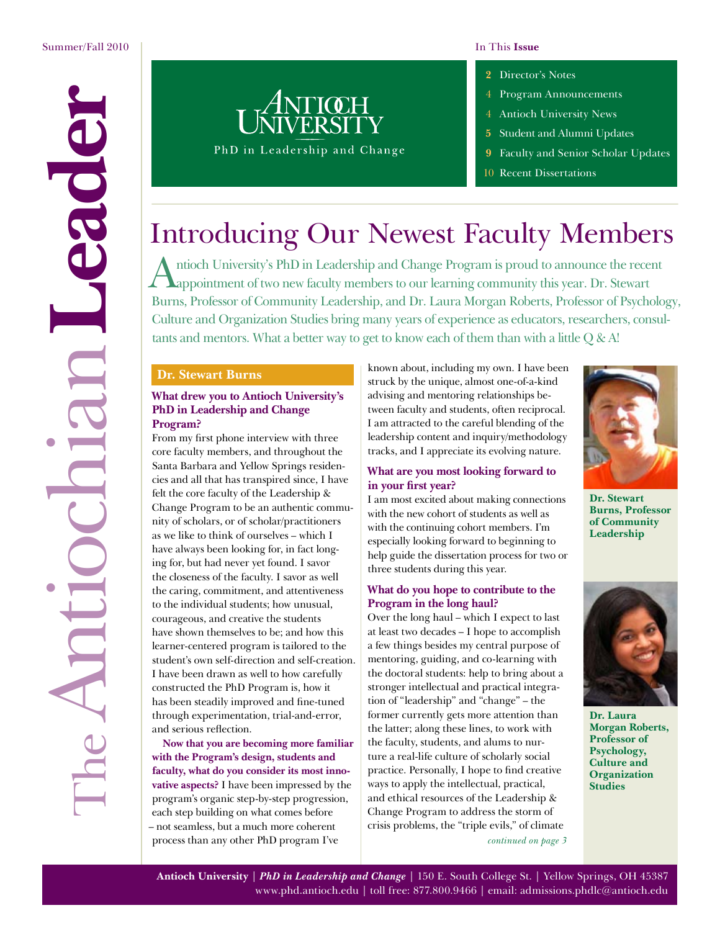- [4 Program Announcements](#page-3-0)
- 4 Antioch University News
- **5** [Student and Alumni Updates](#page-4-0)
- **9** [Faculty and Senior Scholar Updates](#page-8-0)
- 10 [Recent Dissertations](#page-9-0)

# Introducing Our Newest Faculty Members

Antioch University's PhD in Leadership and Change Program is proud to announce the recent appointment of two new faculty members to our learning community this year. Dr. Stewart Burns, Professor of Community Leadership, and Dr. Laura Morgan Roberts, Professor of Psychology, Culture and Organization Studies bring many years of experience as educators, researchers, consultants and mentors. What a better way to get to know each of them than with a little Q & A!

#### **Dr. Stewart Burns**

#### **What drew you to Antioch University's PhD in Leadership and Change Program?**

From my first phone interview with three core faculty members, and throughout the Santa Barbara and Yellow Springs residencies and all that has transpired since, I have felt the core faculty of the Leadership & Change Program to be an authentic community of scholars, or of scholar/practitioners as we like to think of ourselves – which I have always been looking for, in fact longing for, but had never yet found. I savor the closeness of the faculty. I savor as well the caring, commitment, and attentiveness to the individual students; how unusual, courageous, and creative the students have shown themselves to be; and how this learner-centered program is tailored to the student's own self-direction and self-creation. I have been drawn as well to how carefully constructed the PhD Program is, how it has been steadily improved and fine-tuned through experimentation, trial-and-error, and serious reflection.

**Now that you are becoming more familiar with the Program's design, students and faculty, what do you consider its most innovative aspects?** I have been impressed by the program's organic step-by-step progression, each step building on what comes before – not seamless, but a much more coherent process than any other PhD program I've

known about, including my own. I have been struck by the unique, almost one-of-a-kind advising and mentoring relationships between faculty and students, often reciprocal. I am attracted to the careful blending of the leadership content and inquiry/methodology tracks, and I appreciate its evolving nature.

#### **What are you most looking forward to in your first year?**

I am most excited about making connections with the new cohort of students as well as with the continuing cohort members. I'm especially looking forward to beginning to help guide the dissertation process for two or three students during this year.

#### **What do you hope to contribute to the Program in the long haul?**

*[continued on page 3](#page-2-0)* Over the long haul – which I expect to last at least two decades – I hope to accomplish a few things besides my central purpose of mentoring, guiding, and co-learning with the doctoral students: help to bring about a stronger intellectual and practical integration of "leadership" and "change" – the former currently gets more attention than the latter; along these lines, to work with the faculty, students, and alums to nurture a real-life culture of scholarly social practice. Personally, I hope to find creative ways to apply the intellectual, practical, and ethical resources of the Leadership & Change Program to address the storm of crisis problems, the "triple evils," of climate



**Dr. Stewart Burns, Professor of Community Leadership**



**Dr. Laura Morgan Roberts, Professor of Psychology, Culture and Organization Studies**

**Antioch University** | *PhD in Leadership and Change* | 150 E. South College St. | Yellow Springs, OH 45387 [www.phd.antioch.edu](http://www.phd.antioch.edu) | toll free: 877.800.9466 | email: [admissions.phdlc@antioch.edu](mailto:admissions.phdlc%40antioch.edu?subject=)

# <span id="page-0-0"></span>TheAntiochian**Leader** eade F ECD Antioc

PhD in Leadership and Change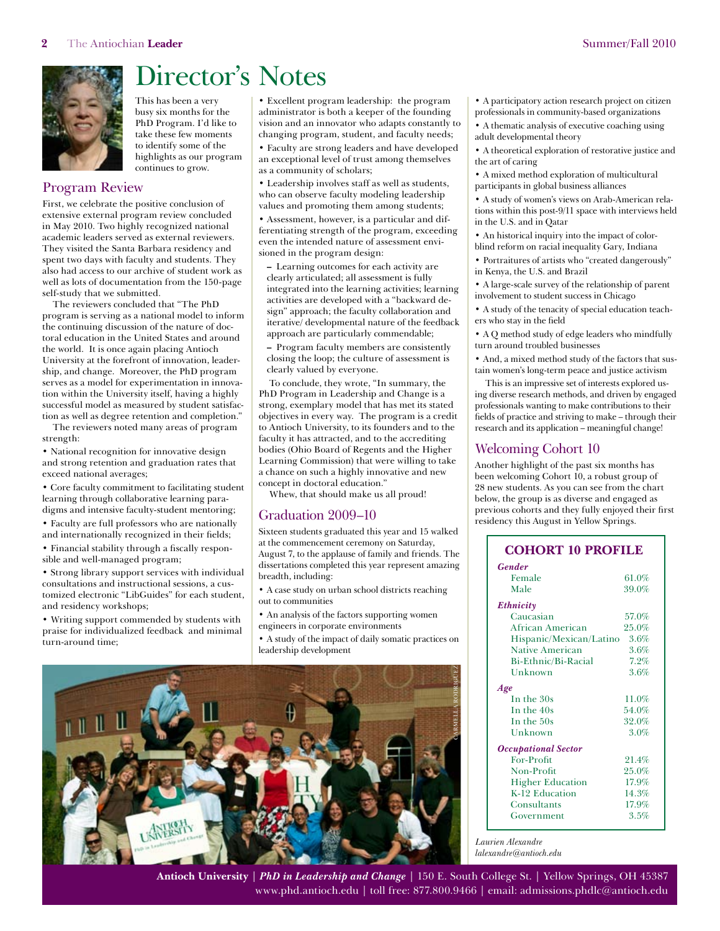<span id="page-1-0"></span>

# Director's Notes

This has been a very busy six months for the PhD Program. I'd like to take these few moments to identify some of the highlights as our program continues to grow.

#### Program Review

First, we celebrate the positive conclusion of extensive external program review concluded in May 2010. Two highly recognized national academic leaders served as external reviewers. They visited the Santa Barbara residency and spent two days with faculty and students. They also had access to our archive of student work as well as lots of documentation from the 150-page self-study that we submitted.

The reviewers concluded that "The PhD program is serving as a national model to inform the continuing discussion of the nature of doctoral education in the United States and around the world. It is once again placing Antioch University at the forefront of innovation, leadership, and change. Moreover, the PhD program serves as a model for experimentation in innovation within the University itself, having a highly successful model as measured by student satisfaction as well as degree retention and completion."

The reviewers noted many areas of program strength:

• National recognition for innovative design and strong retention and graduation rates that exceed national averages;

• Core faculty commitment to facilitating student learning through collaborative learning paradigms and intensive faculty-student mentoring;

• Faculty are full professors who are nationally and internationally recognized in their fields;

• Financial stability through a fiscally responsible and well-managed program;

• Strong library support services with individual consultations and instructional sessions, a customized electronic "LibGuides" for each student, and residency workshops;

• Writing support commended by students with praise for individualized feedback and minimal turn-around time;

• Excellent program leadership: the program administrator is both a keeper of the founding vision and an innovator who adapts constantly to changing program, student, and faculty needs;

• Faculty are strong leaders and have developed an exceptional level of trust among themselves as a community of scholars;

• Leadership involves staff as well as students, who can observe faculty modeling leadership values and promoting them among students;

• Assessment, however, is a particular and differentiating strength of the program, exceeding even the intended nature of assessment envisioned in the program design:

**–** Learning outcomes for each activity are clearly articulated; all assessment is fully integrated into the learning activities; learning activities are developed with a "backward design" approach; the faculty collaboration and iterative/ developmental nature of the feedback approach are particularly commendable;

**–** Program faculty members are consistently closing the loop; the culture of assessment is clearly valued by everyone.

To conclude, they wrote, "In summary, the PhD Program in Leadership and Change is a strong, exemplary model that has met its stated objectives in every way. The program is a credit to Antioch University, to its founders and to the faculty it has attracted, and to the accrediting bodies (Ohio Board of Regents and the Higher Learning Commission) that were willing to take a chance on such a highly innovative and new concept in doctoral education."

Whew, that should make us all proud!

#### Graduation 2009–10

Sixteen students graduated this year and 15 walked at the commencement ceremony on Saturday, August 7, to the applause of family and friends. The dissertations completed this year represent amazing breadth, including:

• A case study on urban school districts reaching out to communities

• An analysis of the factors supporting women engineers in corporate environments

• A study of the impact of daily somatic practices on leadership development



• A participatory action research project on citizen professionals in community-based organizations

• A thematic analysis of executive coaching using adult developmental theory

• A theoretical exploration of restorative justice and the art of caring

• A mixed method exploration of multicultural participants in global business alliances

• A study of women's views on Arab-American relations within this post-9/11 space with interviews held in the U.S. and in Qatar

• An historical inquiry into the impact of colorblind reform on racial inequality Gary, Indiana

• Portraitures of artists who "created dangerously" in Kenya, the U.S. and Brazil

• A large-scale survey of the relationship of parent involvement to student success in Chicago

• A study of the tenacity of special education teachers who stay in the field

• A Q method study of edge leaders who mindfully turn around troubled businesses

• And, a mixed method study of the factors that sustain women's long-term peace and justice activism

This is an impressive set of interests explored using diverse research methods, and driven by engaged professionals wanting to make contributions to their fields of practice and striving to make – through their research and its application – meaningful change!

#### Welcoming Cohort 10

Another highlight of the past six months has been welcoming Cohort 10, a robust group of 28 new students. As you can see from the chart below, the group is as diverse and engaged as previous cohorts and they fully enjoyed their first residency this August in Yellow Springs.

#### **COHORT 10 PROFILE**

| <b>Gender</b>                |          |
|------------------------------|----------|
| Female                       | $61.0\%$ |
| Male                         | 39.0%    |
| $E$ thnicity                 |          |
| Caucasian                    | 57.0%    |
| African American             | 25.0%    |
| Hispanic/Mexican/Latino 3.6% |          |
| <b>Native American</b>       | 3.6%     |
| Bi-Ethnic/Bi-Racial          | 7.2%     |
| Unknown                      | $3.6\%$  |
| Age                          |          |
| In the 30s                   | 11.0%    |
| In the 40s                   | 54.0%    |
| In the 50s                   | 32.0%    |
| Unknown                      | 3.0%     |
| <b>Occupational Sector</b>   |          |
| For-Profit                   | 21.4%    |
| Non-Profit                   | 25.0%    |
| <b>Higher Education</b>      | 17.9%    |
| K-12 Education               | 14.3%    |
| Consultants                  | 17.9%    |
| Government                   | 3.5%     |

*Laurien Alexandre [lalexandre@antioch.edu](mailto:lalexandre@antioch.edu)*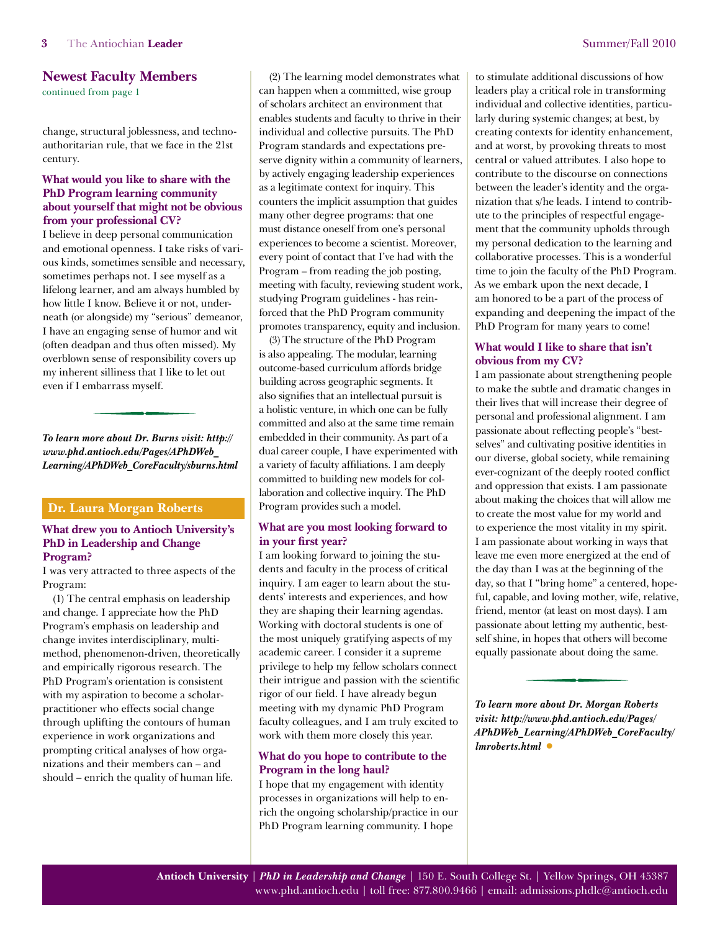#### <span id="page-2-0"></span>**Newest Faculty Members**

[continued from page 1](#page-0-0)

change, structural joblessness, and technoauthoritarian rule, that we face in the 21st century.

#### **What would you like to share with the PhD Program learning community about yourself that might not be obvious from your professional CV?**

I believe in deep personal communication and emotional openness. I take risks of various kinds, sometimes sensible and necessary, sometimes perhaps not. I see myself as a lifelong learner, and am always humbled by how little I know. Believe it or not, underneath (or alongside) my "serious" demeanor, I have an engaging sense of humor and wit (often deadpan and thus often missed). My overblown sense of responsibility covers up my inherent silliness that I like to let out even if I embarrass myself.

*To learn more about Dr. Burns visit: [http://](http://www.phd.antioch.edu/Pages/APhDWeb_Learning/APhDWeb_CoreFaculty/sburns.html) [www.phd.antioch.edu/Pages/APhDWeb\\_](http://www.phd.antioch.edu/Pages/APhDWeb_Learning/APhDWeb_CoreFaculty/sburns.html) [Learning/APhDWeb\\_CoreFaculty/sburns.html](http://www.phd.antioch.edu/Pages/APhDWeb_Learning/APhDWeb_CoreFaculty/sburns.html)*

#### **Dr. Laura Morgan Roberts**

#### **What drew you to Antioch University's PhD in Leadership and Change Program?**

I was very attracted to three aspects of the Program:

(1) The central emphasis on leadership and change. I appreciate how the PhD Program's emphasis on leadership and change invites interdisciplinary, multimethod, phenomenon-driven, theoretically and empirically rigorous research. The PhD Program's orientation is consistent with my aspiration to become a scholarpractitioner who effects social change through uplifting the contours of human experience in work organizations and prompting critical analyses of how organizations and their members can – and should – enrich the quality of human life.

(2) The learning model demonstrates what can happen when a committed, wise group of scholars architect an environment that enables students and faculty to thrive in their individual and collective pursuits. The PhD Program standards and expectations preserve dignity within a community of learners, by actively engaging leadership experiences as a legitimate context for inquiry. This counters the implicit assumption that guides many other degree programs: that one must distance oneself from one's personal experiences to become a scientist. Moreover, every point of contact that I've had with the Program – from reading the job posting, meeting with faculty, reviewing student work, studying Program guidelines - has reinforced that the PhD Program community promotes transparency, equity and inclusion.

(3) The structure of the PhD Program is also appealing. The modular, learning outcome-based curriculum affords bridge building across geographic segments. It also signifies that an intellectual pursuit is a holistic venture, in which one can be fully committed and also at the same time remain embedded in their community. As part of a dual career couple, I have experimented with a variety of faculty affiliations. I am deeply committed to building new models for collaboration and collective inquiry. The PhD Program provides such a model.

#### **What are you most looking forward to in your first year?**

I am looking forward to joining the students and faculty in the process of critical inquiry. I am eager to learn about the students' interests and experiences, and how they are shaping their learning agendas. Working with doctoral students is one of the most uniquely gratifying aspects of my academic career. I consider it a supreme privilege to help my fellow scholars connect their intrigue and passion with the scientific rigor of our field. I have already begun meeting with my dynamic PhD Program faculty colleagues, and I am truly excited to work with them more closely this year.

#### **What do you hope to contribute to the Program in the long haul?**

I hope that my engagement with identity processes in organizations will help to enrich the ongoing scholarship/practice in our PhD Program learning community. I hope

to stimulate additional discussions of how leaders play a critical role in transforming individual and collective identities, particularly during systemic changes; at best, by creating contexts for identity enhancement, and at worst, by provoking threats to most central or valued attributes. I also hope to contribute to the discourse on connections between the leader's identity and the organization that s/he leads. I intend to contribute to the principles of respectful engagement that the community upholds through my personal dedication to the learning and collaborative processes. This is a wonderful time to join the faculty of the PhD Program. As we embark upon the next decade, I am honored to be a part of the process of expanding and deepening the impact of the PhD Program for many years to come!

#### **What would I like to share that isn't obvious from my CV?**

I am passionate about strengthening people to make the subtle and dramatic changes in their lives that will increase their degree of personal and professional alignment. I am passionate about reflecting people's "bestselves" and cultivating positive identities in our diverse, global society, while remaining ever-cognizant of the deeply rooted conflict and oppression that exists. I am passionate about making the choices that will allow me to create the most value for my world and to experience the most vitality in my spirit. I am passionate about working in ways that leave me even more energized at the end of the day than I was at the beginning of the day, so that I "bring home" a centered, hopeful, capable, and loving mother, wife, relative, friend, mentor (at least on most days). I am passionate about letting my authentic, bestself shine, in hopes that others will become equally passionate about doing the same.

*To learn more about Dr. Morgan Roberts visit: [http://www.phd.antioch.edu/Pages/](http://www.phd.antioch.edu/Pages/APhDWeb_Learning/APhDWeb_CoreFaculty/lmroberts.html) [APhDWeb\\_Learning/APhDWeb\\_CoreFaculty/](http://www.phd.antioch.edu/Pages/APhDWeb_Learning/APhDWeb_CoreFaculty/lmroberts.html) [lmroberts.html](http://www.phd.antioch.edu/Pages/APhDWeb_Learning/APhDWeb_CoreFaculty/lmroberts.html)* **•**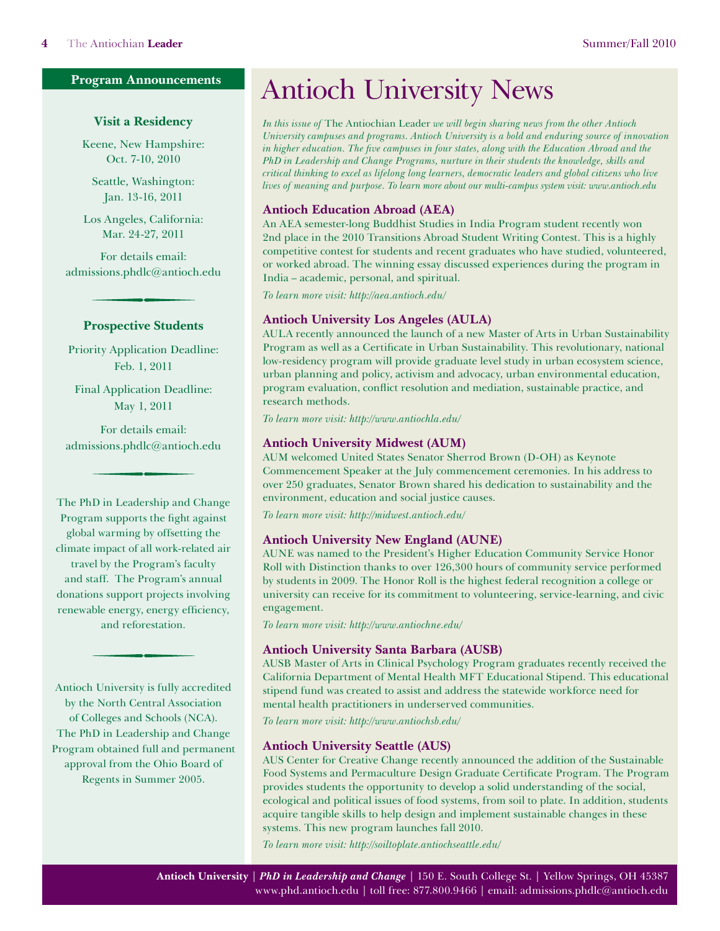#### <span id="page-3-0"></span>**Program Announcements**

#### **Visit a Residency**

Keene, New Hampshire: Oct. 7-10, 2010

Seattle, Washington: Jan. 13-16, 2011

Los Angeles, California: Mar. 24-27, 2011

For details email: admissions.phdlc@antioch.edu

#### **Prospective Students**

Priority Application Deadline: Feb. 1, 2011

Final Application Deadline: May 1, 2011

For details email: admissions.phdlc@antioch.edu

The PhD in Leadership and Change Program supports the fight against global warming by offsetting the climate impact of all work-related air travel by the Program's faculty and staff. The Program's annual donations support projects involving renewable energy, energy efficiency, and reforestation.

Antioch University is fully accredited by the North Central Association of Colleges and Schools (NCA). The PhD in Leadership and Change Program obtained full and permanent approval from the Ohio Board of Regents in Summer 2005.

## Antioch University News

*In this issue of* The Antiochian Leader *we will begin sharing news from the other Antioch University campuses and programs. Antioch University is a bold and enduring source of innovation in higher education. The five campuses in four states, along with the Education Abroad and the PhD in Leadership and Change Programs, nurture in their students the knowledge, skills and critical thinking to excel as lifelong long learners, democratic leaders and global citizens who live lives of meaning and purpose. To learn more about our multi-campus system visit: [www.antioch.edu](http://www.antioch.edu)*

#### **Antioch Education Abroad (AEA)**

An AEA semester-long Buddhist Studies in India Program student recently won 2nd place in the 2010 Transitions Abroad Student Writing Contest. This is a highly competitive contest for students and recent graduates who have studied, volunteered, or worked abroad. The winning essay discussed experiences during the program in India – academic, personal, and spiritual.

*To learn more visit: <http://aea.antioch.edu/>*

#### **Antioch University Los Angeles (AULA)**

AULA recently announced the launch of a new Master of Arts in Urban Sustainability Program as well as a Certificate in Urban Sustainability. This revolutionary, national low-residency program will provide graduate level study in urban ecosystem science, urban planning and policy, activism and advocacy, urban environmental education, program evaluation, conflict resolution and mediation, sustainable practice, and research methods.

*To learn more visit: <http://www.antiochla.edu/>*

#### **Antioch University Midwest (AUM)**

AUM welcomed United States Senator Sherrod Brown (D-OH) as Keynote Commencement Speaker at the July commencement ceremonies. In his address to over 250 graduates, Senator Brown shared his dedication to sustainability and the environment, education and social justice causes.

*To learn more visit: <http://midwest.antioch.edu/>*

#### **Antioch University New England (AUNE)**

AUNE was named to the President's Higher Education Community Service Honor Roll with Distinction thanks to over 126,300 hours of community service performed by students in 2009. The Honor Roll is the highest federal recognition a college or university can receive for its commitment to volunteering, service-learning, and civic engagement.

*To learn more visit: <http://www.antiochne.edu/>*

#### **Antioch University Santa Barbara (AUSB)**

AUSB Master of Arts in Clinical Psychology Program graduates recently received the California Department of Mental Health MFT Educational Stipend. This educational stipend fund was created to assist and address the statewide workforce need for mental health practitioners in underserved communities.

*To learn more visit: <http://www.antiochsb.edu/>*

#### **Antioch University Seattle (AUS)**

AUS Center for Creative Change recently announced the addition of the Sustainable Food Systems and Permaculture Design Graduate Certificate Program. The Program provides students the opportunity to develop a solid understanding of the social, ecological and political issues of food systems, from soil to plate. In addition, students acquire tangible skills to help design and implement sustainable changes in these systems. This new program launches fall 2010.

*To learn more visit: <http://soiltoplate.antiochseattle.edu/>*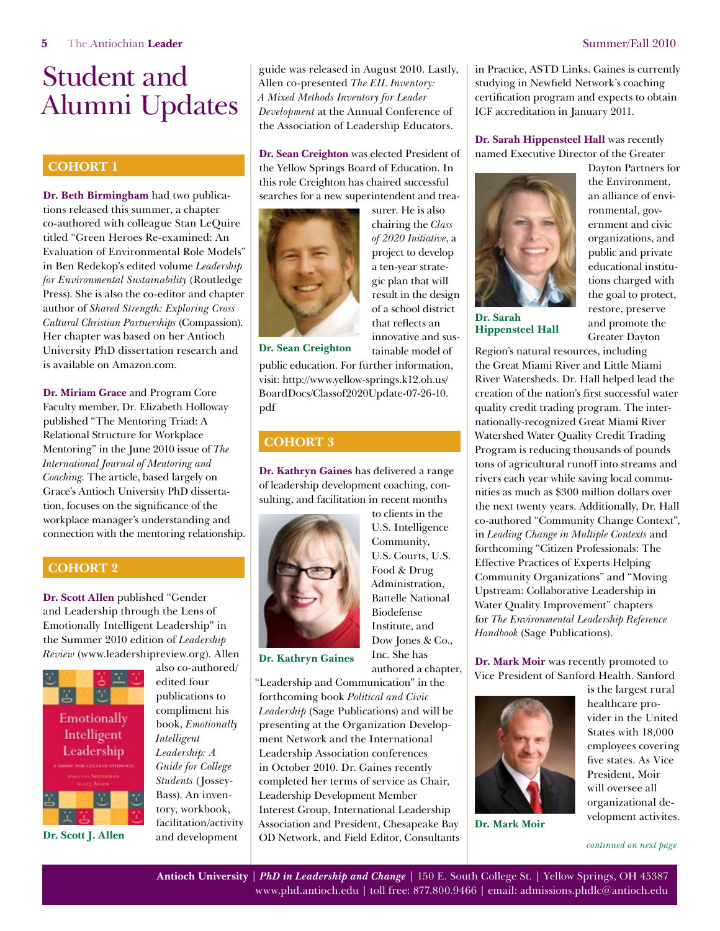#### <span id="page-4-0"></span>**Cohort 1**

**Dr. Beth Birmingham** had two publications released this summer, a chapter co-authored with colleague Stan LeQuire titled "Green Heroes Re-examined: An Evaluation of Environmental Role Models" in Ben Redekop's edited volume *Leadership for Environmental Sustainability* (Routledge Press). She is also the co-editor and chapter author of *Shared Strength: Exploring Cross Cultural Christian Partnerships* (Compassion). Her chapter was based on her Antioch University PhD dissertation research and is available on Amazon.com.

**Dr. Miriam Grace** and Program Core Faculty member, Dr. Elizabeth Holloway published "The Mentoring Triad: A Relational Structure for Workplace Mentoring" in the June 2010 issue of *The International Journal of Mentoring and Coaching*. The article, based largely on Grace's Antioch University PhD dissertation, focuses on the significance of the workplace manager's understanding and connection with the mentoring relationship.

#### **Cohort 2**

**Dr. Scott Allen** published "Gender and Leadership through the Lens of Emotionally Intelligent Leadership" in the Summer 2010 edition of *Leadership Review* ([www.leadershipreview.org](http://www.leadershipreview.org)). Allen



also co-authored/ edited four publications to compliment his book, *Emotionally Intelligent Leadership: A Guide for College Students* (Jossey-Bass). An inventory, workbook, facilitation/activity and development

guide was released in August 2010. Lastly, Allen co-presented *The EIL Inventory: A Mixed Methods Inventory for Leader Development* at the Annual Conference of the Association of Leadership Educators.

**Dr. Sean Creighton** was elected President of the Yellow Springs Board of Education. In this role Creighton has chaired successful searches for a new superintendent and trea-



surer. He is also chairing the *Class of 2020 Initiative*, a project to develop a ten-year strategic plan that will result in the design of a school district that reflects an innovative and sustainable model of

**Dr. Sean Creighton**

public education. For further information, visit: [http://www.yellow-springs.k12.oh.us/](http://www.yellow-springs.k12.oh.us/BoardDocs/Classof2020Update-07-26-10.pdf) [BoardDocs/Classof2020Update-07-26-10.](http://www.yellow-springs.k12.oh.us/BoardDocs/Classof2020Update-07-26-10.pdf) [pdf](http://www.yellow-springs.k12.oh.us/BoardDocs/Classof2020Update-07-26-10.pdf)

#### **Cohort 3**

**Dr. Kathryn Gaines** has delivered a range of leadership development coaching, consulting, and facilitation in recent months



to clients in the U.S. Intelligence Community, U.S. Courts, U.S. Food & Drug Administration, Battelle National Biodefense Institute, and Dow Jones & Co., Inc. She has authored a chapter,

**Dr. Kathryn Gaines**

"Leadership and Communication" in the forthcoming book *Political and Civic Leadership* (Sage Publications) and will be presenting at the Organization Development Network and the International Leadership Association conferences in October 2010. Dr. Gaines recently completed her terms of service as Chair, Leadership Development Member Interest Group, International Leadership Association and President, Chesapeake Bay **Dr. Scott J. Allen** and development OD Network, and Field Editor, Consultants [continued on next page](#page-5-0)

in Practice, ASTD Links. Gaines is currently studying in Newfield Network's coaching certification program and expects to obtain ICF accreditation in January 2011.

**Dr. Sarah Hippensteel Hall** was recently named Executive Director of the Greater



**Dr. Sarah Hippensteel Hall**

Dayton Partners for the Environment, an alliance of environmental, government and civic organizations, and public and private educational institutions charged with the goal to protect, restore, preserve and promote the Greater Dayton

Region's natural resources, including the Great Miami River and Little Miami River Watersheds. Dr. Hall helped lead the creation of the nation's first successful water quality credit trading program. The internationally-recognized Great Miami River Watershed Water Quality Credit Trading Program is reducing thousands of pounds tons of agricultural runoff into streams and rivers each year while saving local communities as much as \$300 million dollars over the next twenty years. Additionally, Dr. Hall co-authored "Community Change Context", in *Leading Change in Multiple Contexts* and forthcoming "Citizen Professionals: The Effective Practices of Experts Helping Community Organizations" and "Moving Upstream: Collaborative Leadership in Water Quality Improvement" chapters for *The Environmental Leadership Reference Handbook* (Sage Publications).

**Dr. Mark Moir** was recently promoted to Vice President of Sanford Health. Sanford



**Dr. Mark Moir**

is the largest rural healthcare provider in the United States with 18,000 employees covering five states. As Vice President, Moir will oversee all organizational development activites.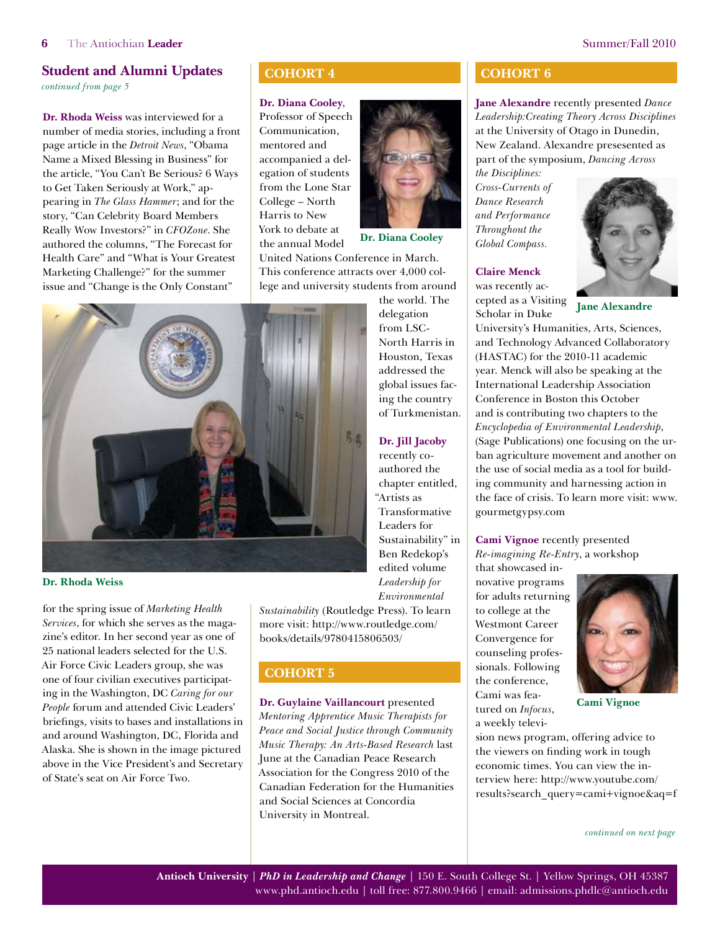<span id="page-5-0"></span>*continued from page 5*

**Dr. Rhoda Weiss** was interviewed for a number of media stories, including a front page article in the *Detroit News*, "Obama Name a Mixed Blessing in Business" for the article, "You Can't Be Serious? 6 Ways to Get Taken Seriously at Work," appearing in *The Glass Hammer*; and for the story, "Can Celebrity Board Members Really Wow Investors?" in *CFOZone*. She authored the columns, "The Forecast for Health Care" and "What is Your Greatest Marketing Challenge?" for the summer issue and "Change is the Only Constant"

#### **Cohort 4**

#### **Dr. Diana Cooley**,

Professor of Speech Communication, mentored and accompanied a delegation of students from the Lone Star College – North Harris to New York to debate at the annual Model



**Dr. Diana Cooley**

the world. The delegation from LSC-North Harris in Houston, Texas addressed the global issues facing the country of Turkmenistan.

**Dr. Jill Jacoby** recently coauthored the chapter entitled, "Artists as Transformative Leaders for Sustainability" in Ben Redekop's edited volume *Leadership for* 

United Nations Conference in March. This conference attracts over 4,000 college and university students from around



**Dr. Rhoda Weiss**

for the spring issue of *Marketing Health Services*, for which she serves as the magazine's editor. In her second year as one of 25 national leaders selected for the U.S. Air Force Civic Leaders group, she was one of four civilian executives participating in the Washington, DC *Caring for our People* forum and attended Civic Leaders' briefings, visits to bases and installations in and around Washington, DC, Florida and Alaska. She is shown in the image pictured above in the Vice President's and Secretary of State's seat on Air Force Two.

*Environmental Sustainability* (Routledge Press). To learn more visit: [http://www.routledge.com/](http://www.routledge.com/books/details/9780415806503/) [books/details/9780415806503/](http://www.routledge.com/books/details/9780415806503/)

#### **Cohort 5**

**Dr. Guylaine Vaillancourt** presented *Mentoring Apprentice Music Therapists for Peace and Social Justice through Community Music Therapy: An Arts-Based Research* last June at the Canadian Peace Research Association for the Congress 2010 of the Canadian Federation for the Humanities and Social Sciences at Concordia University in Montreal.

#### **Cohort 6**

**Jane Alexandre** recently presented *Dance Leadership:Creating Theory Across Disciplines* at the University of Otago in Dunedin, New Zealand. Alexandre presesented as part of the symposium, *Dancing Across* 

*the Disciplines: Cross-Currents of Dance Research and Performance Throughout the Global Compass.*

#### **Claire Menck**

was recently accepted as a Visiting Scholar in Duke



**Jane Alexandre**

University's Humanities, Arts, Sciences, and Technology Advanced Collaboratory (HASTAC) for the 2010-11 academic year. Menck will also be speaking at the International Leadership Association Conference in Boston this October and is contributing two chapters to the *Encyclopedia of Environmental Leadership*, (Sage Publications) one focusing on the urban agriculture movement and another on the use of social media as a tool for building community and harnessing action in the face of crisis. To learn more visit: [www.](http://www.gourmetgypsy.com) [gourmetgypsy.com](http://www.gourmetgypsy.com)

#### **Cami Vignoe** recently presented *Re-imagining Re-Entry*, a workshop

that showcased innovative programs for adults returning to college at the Westmont Career Convergence for counseling professionals. Following the conference, Cami was featured on *Infocus*, a weekly televi-

sion news program, offering advice to the viewers on finding work in tough economic times. You can view the interview here: [http://www.youtube.com/](http://www.youtube.com/results?search_query=cami+vignoe&aq=f ) [results?search\\_query=cami+vignoe&aq=f](http://www.youtube.com/results?search_query=cami+vignoe&aq=f )



**Cami Vignoe**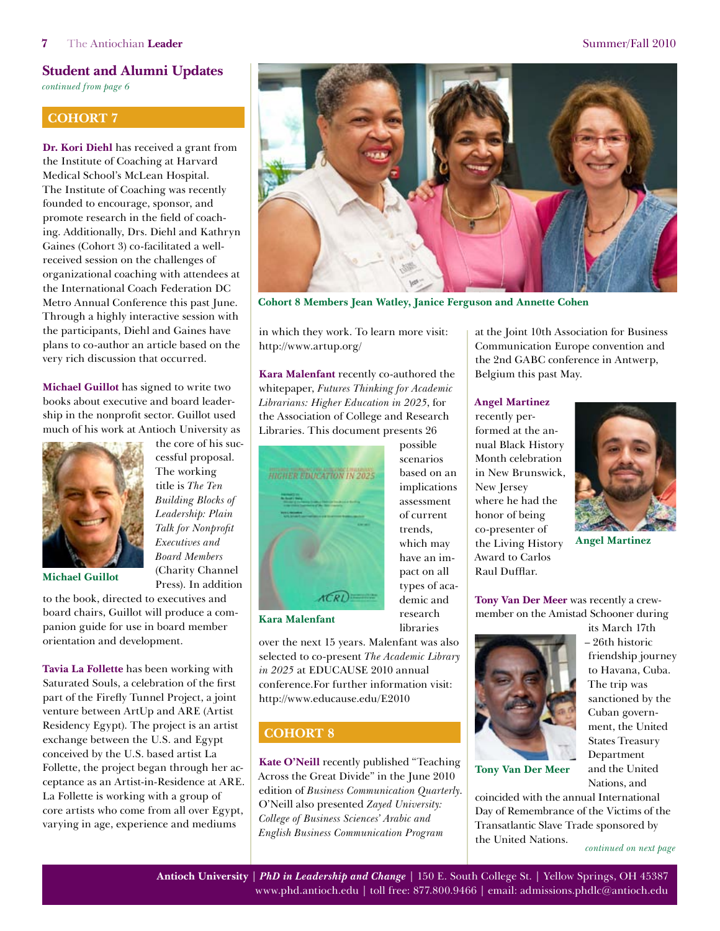<span id="page-6-0"></span>*continued from page 6*

#### **COHORT 7**

**Dr. Kori Diehl** has received a grant from the Institute of Coaching at Harvard Medical School's McLean Hospital. The Institute of Coaching was recently founded to encourage, sponsor, and promote research in the field of coaching. Additionally, Drs. Diehl and Kathryn Gaines (Cohort 3) co-facilitated a wellreceived session on the challenges of organizational coaching with attendees at the International Coach Federation DC Metro Annual Conference this past June. Through a highly interactive session with the participants, Diehl and Gaines have plans to co-author an article based on the very rich discussion that occurred.

**Michael Guillot** has signed to write two books about executive and board leadership in the nonprofit sector. Guillot used much of his work at Antioch University as

> the core of his successful proposal. The working title is *The Ten Building Blocks of Leadership: Plain Talk for Nonprofit Executives and Board Members*  (Charity Channel Press). In addition



**Michael Guillot**

to the book, directed to executives and board chairs, Guillot will produce a companion guide for use in board member orientation and development.

**Tavia La Follette** has been working with Saturated Souls, a celebration of the first part of the Firefly Tunnel Project, a joint venture between ArtUp and ARE (Artist Residency Egypt). The project is an artist exchange between the U.S. and Egypt conceived by the U.S. based artist La Follette, the project began through her acceptance as an Artist-in-Residence at ARE. La Follette is working with a group of core artists who come from all over Egypt, varying in age, experience and mediums



**Cohort 8 Members Jean Watley, Janice Ferguson and Annette Cohen**

in which they work. To learn more visit: <http://www.artup.org/>

**Kara Malenfant** recently co-authored the whitepaper, *Futures Thinking for Academic Librarians: Higher Education in 2025*, for the Association of College and Research Libraries. This document presents 26



based on an implications assessment of current trends, which may have an impact on all types of academic and research libraries

possible scenarios

#### **Kara Malenfant**

over the next 15 years. Malenfant was also selected to co-present *The Academic Library in 2025* at EDUCAUSE 2010 annual conference.For further information visit: <http://www.educause.edu/E2010>

#### **Cohort 8**

**Kate O'Neill** recently published "Teaching Across the Great Divide" in the June 2010 edition of *Business Communication Quarterly*. O'Neill also presented *Zayed University: College of Business Sciences' Arabic and English Business Communication Program* 

at the Joint 10th Association for Business Communication Europe convention and the 2nd GABC conference in Antwerp, Belgium this past May.

#### **Angel Martinez**

recently performed at the annual Black History Month celebration in New Brunswick, New Jersey where he had the honor of being co-presenter of the Living History Award to Carlos Raul Dufflar.



**Angel Martinez**

**Tony Van Der Meer** was recently a crewmember on the Amistad Schooner during



its March 17th – 26th historic friendship journey to Havana, Cuba. The trip was sanctioned by the Cuban government, the United States Treasury Department and the United Nations, and

**Tony Van Der Meer**

coincided with the annual International Day of Remembrance of the Victims of the Transatlantic Slave Trade sponsored by the United Nations.

*[continued on next page](#page-7-0)*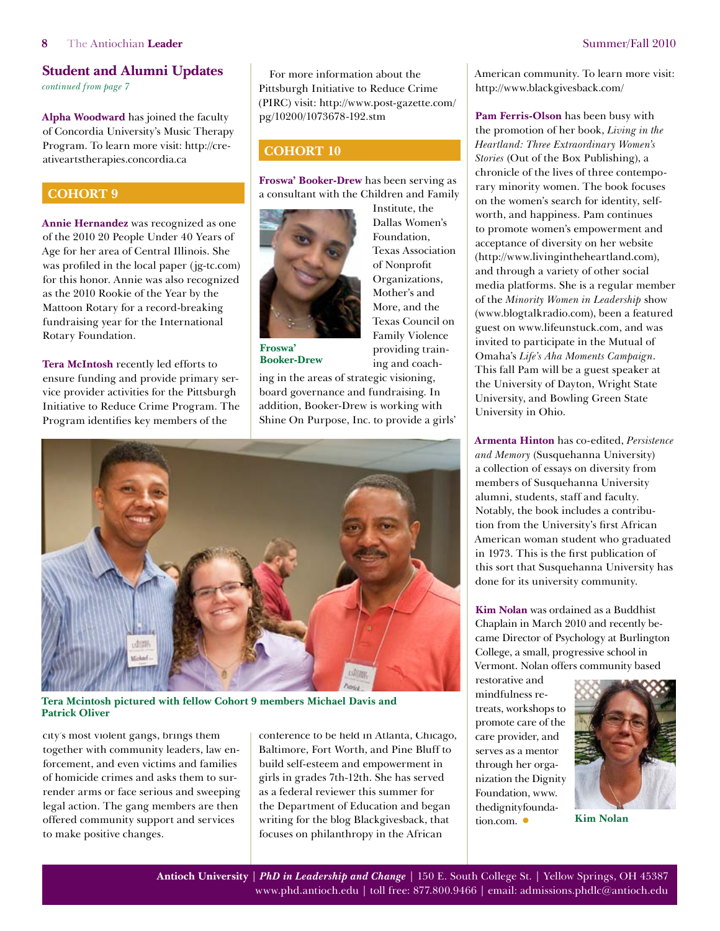<span id="page-7-0"></span>*continued from page 7*

**Alpha Woodward** has joined the faculty of Concordia University's Music Therapy Program. To learn more visit: [http://cre](http://creativeartstherapies.concordia.ca)[ativeartstherapies.concordia.ca](http://creativeartstherapies.concordia.ca)

#### **Cohort 9**

**Annie Hernandez** was recognized as one of the 2010 20 People Under 40 Years of Age for her area of Central Illinois. She was profiled in the local paper [\(jg-tc.com\)](http://jg-tc.com)  for this honor. Annie was also recognized as the 2010 Rookie of the Year by the Mattoon Rotary for a record-breaking fundraising year for the International Rotary Foundation.

**Tera McIntosh** recently led efforts to ensure funding and provide primary service provider activities for the Pittsburgh Initiative to Reduce Crime Program. The Program identifies key members of the

For more information about the Pittsburgh Initiative to Reduce Crime (PIRC) visit: [http://www.post-gazette.com/](http://www.post-gazette.com/pg/10200/1073678-192.stm) [pg/10200/1073678-192.stm](http://www.post-gazette.com/pg/10200/1073678-192.stm)

#### **COHORT 10**

**Froswa' Booker-Drew** has been serving as a consultant with the Children and Family



Institute, the Dallas Women's Foundation, Texas Association of Nonprofit Organizations, Mother's and More, and the Texas Council on Family Violence providing training and coach-

**Froswa' Booker-Drew**

ing in the areas of strategic visioning, board governance and fundraising. In addition, Booker-Drew is working with Shine On Purpose, Inc. to provide a girls'



**Tera Mcintosh pictured with fellow Cohort 9 members Michael Davis and Patrick Oliver**

city's most violent gangs, brings them together with community leaders, law enforcement, and even victims and families of homicide crimes and asks them to surrender arms or face serious and sweeping legal action. The gang members are then offered community support and services to make positive changes.

conference to be held in Atlanta, Chicago, Baltimore, Fort Worth, and Pine Bluff to build self-esteem and empowerment in girls in grades 7th-12th. She has served as a federal reviewer this summer for the Department of Education and began writing for the blog Blackgivesback, that focuses on philanthropy in the African

American community. To learn more visit: <http://www.blackgivesback.com/>

**Pam Ferris-Olson** has been busy with the promotion of her book, *Living in the Heartland: Three Extraordinary Women's Stories* (Out of the Box Publishing), a chronicle of the lives of three contemporary minority women. The book focuses on the women's search for identity, selfworth, and happiness. Pam continues to promote women's empowerment and acceptance of diversity on her website ([http://www.livingintheheartland.com\)](http://www.livingintheheartland.com), and through a variety of other social media platforms. She is a regular member of the *Minority Women in Leadership* show (www.blogtalkradio.com), been a featured guest on [www.lifeunstuck.com,](http://www.lifeunstuck.com) and was invited to participate in the Mutual of Omaha's *Life's Aha Moments Campaign*. This fall Pam will be a guest speaker at the University of Dayton, Wright State University, and Bowling Green State University in Ohio.

**Armenta Hinton** has co-edited, *Persistence and Memory* (Susquehanna University) a collection of essays on diversity from members of Susquehanna University alumni, students, staff and faculty. Notably, the book includes a contribution from the University's first African American woman student who graduated in 1973. This is the first publication of this sort that Susquehanna University has done for its university community.

**Kim Nolan** was ordained as a Buddhist Chaplain in March 2010 and recently became Director of Psychology at Burlington College, a small, progressive school in Vermont. Nolan offers community based

restorative and mindfulness retreats, workshops to promote care of the care provider, and serves as a mentor through her organization the Dignity Foundation[, www.](http://www.thedignityfoundation.com) [thedignityfounda](http://www.thedignityfoundation.com)[tion.com.](http://www.thedignityfoundation.com) **•**



**Kim Nolan**

**Antioch University** | *PhD in Leadership and Change* | 150 E. South College St. | Yellow Springs, OH 45387 [www.phd.antioch.edu](http://www.phd.antioch.edu) | toll free: 877.800.9466 | email: [admissions.phdlc@antioch.edu](mailto:admissions.phdlc%40antioch.edu?subject=)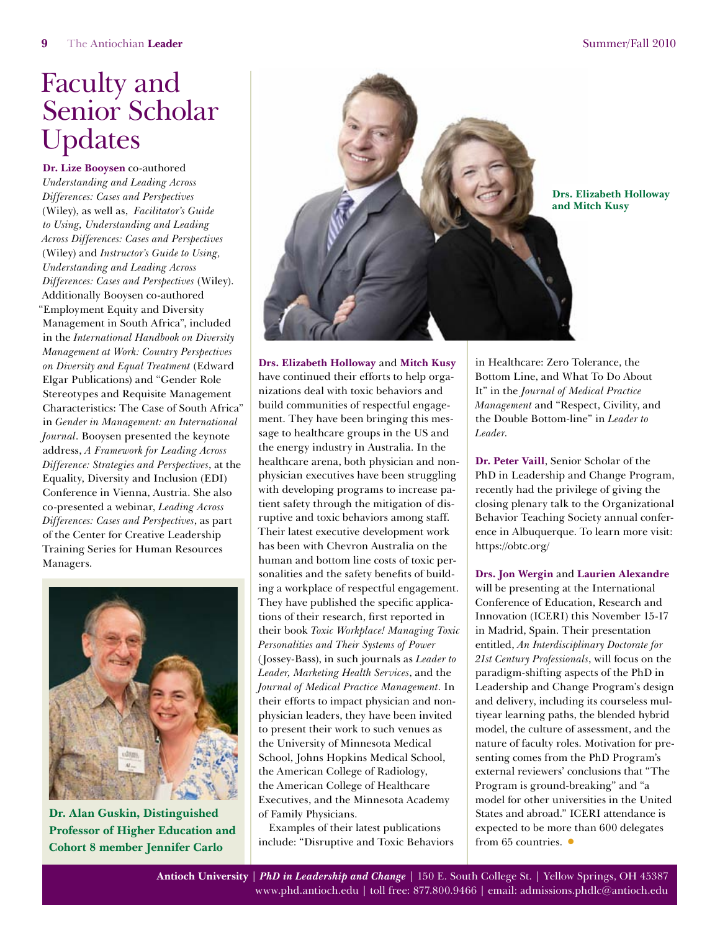# <span id="page-8-0"></span>Faculty and Senior Scholar Updates

**Dr. Lize Booysen** co-authored *Understanding and Leading Across Differences: Cases and Perspectives*  (Wiley), as well as, *Facilitator's Guide to Using, Understanding and Leading Across Differences: Cases and Perspectives*  (Wiley) and *Instructor's Guide to Using, Understanding and Leading Across Differences: Cases and Perspectives* (Wiley). Additionally Booysen co-authored "Employment Equity and Diversity Management in South Africa", included in the *International Handbook on Diversity Management at Work: Country Perspectives on Diversity and Equal Treatment* (Edward Elgar Publications) and "Gender Role Stereotypes and Requisite Management Characteristics: The Case of South Africa" in *Gender in Management: an International Journal*. Booysen presented the keynote address, *A Framework for Leading Across Difference: Strategies and Perspectives*, at the Equality, Diversity and Inclusion (EDI) Conference in Vienna, Austria. She also co-presented a webinar, *Leading Across Differences: Cases and Perspectives*, as part of the Center for Creative Leadership Training Series for Human Resources Managers.



**Dr. Alan Guskin, Distinguished Professor of Higher Education and Cohort 8 member Jennifer Carlo**



**Drs. Elizabeth Holloway** and **Mitch Kusy** have continued their efforts to help organizations deal with toxic behaviors and build communities of respectful engagement. They have been bringing this message to healthcare groups in the US and the energy industry in Australia. In the healthcare arena, both physician and nonphysician executives have been struggling with developing programs to increase patient safety through the mitigation of disruptive and toxic behaviors among staff. Their latest executive development work has been with Chevron Australia on the human and bottom line costs of toxic personalities and the safety benefits of building a workplace of respectful engagement. They have published the specific applications of their research, first reported in their book *Toxic Workplace! Managing Toxic Personalities and Their Systems of Power* (Jossey-Bass), in such journals as *Leader to Leader, Marketing Health Services*, and the *Journal of Medical Practice Management*. In their efforts to impact physician and nonphysician leaders, they have been invited to present their work to such venues as the University of Minnesota Medical School, Johns Hopkins Medical School, the American College of Radiology, the American College of Healthcare Executives, and the Minnesota Academy of Family Physicians.

Examples of their latest publications include: "Disruptive and Toxic Behaviors in Healthcare: Zero Tolerance, the Bottom Line, and What To Do About It" in the *Journal of Medical Practice Management* and "Respect, Civility, and the Double Bottom-line" in *Leader to Leader*.

**Dr. Peter Vaill**, Senior Scholar of the PhD in Leadership and Change Program, recently had the privilege of giving the closing plenary talk to the Organizational Behavior Teaching Society annual conference in Albuquerque. To learn more visit: <https://obtc.org/>

**Drs. Jon Wergin** and **Laurien Alexandre** will be presenting at the International Conference of Education, Research and Innovation (ICERI) this November 15-17 in Madrid, Spain. Their presentation entitled, *An Interdisciplinary Doctorate for 21st Century Professionals*, will focus on the paradigm-shifting aspects of the PhD in Leadership and Change Program's design and delivery, including its courseless multiyear learning paths, the blended hybrid model, the culture of assessment, and the nature of faculty roles. Motivation for presenting comes from the PhD Program's external reviewers' conclusions that "The Program is ground-breaking" and "a model for other universities in the United States and abroad." ICERI attendance is expected to be more than 600 delegates from 65 countries. **•**